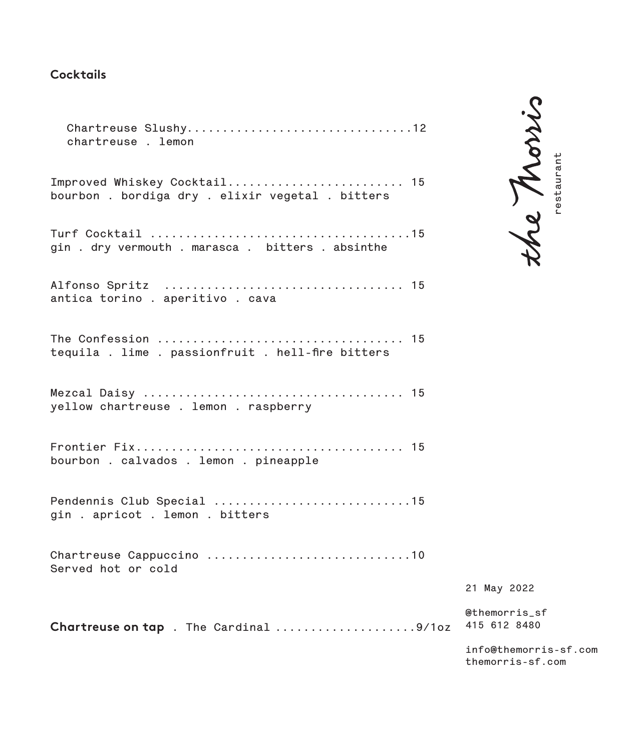### **Cocktails**

**Chartreuse Slushy................................12 chartreuse . lemon Improved Whiskey Cocktail......................... 15 bourbon . bordiga dry . elixir vegetal . bitters Turf Cocktail .....................................15 gin . dry vermouth . marasca . bitters . absinthe Alfonso Spritz .................................. 15 antica torino . aperitivo . cava The Confession ................................... 15 tequila . lime . passionfruit . hell-fire bitters Mezcal Daisy ..................................... 15 yellow chartreuse . lemon . raspberry Frontier Fix...................................... 15 bourbon . calvados . lemon . pineapple Pendennis Club Special ............................15 gin . apricot . lemon . bitters Chartreuse Cappuccino .............................10 Served hot or cold**

**Chartreuse on tap . The Cardinal ....................9/1oz**

he Morris Property May 2022<br>
The May 2022<br>
The morris sf<br>
the morris-sf.com<br>
the morris sf.com

**21 May 2022**

**@themorris\_sf 415 612 8480**

**info@themorris-sf.com** themorris-sf.com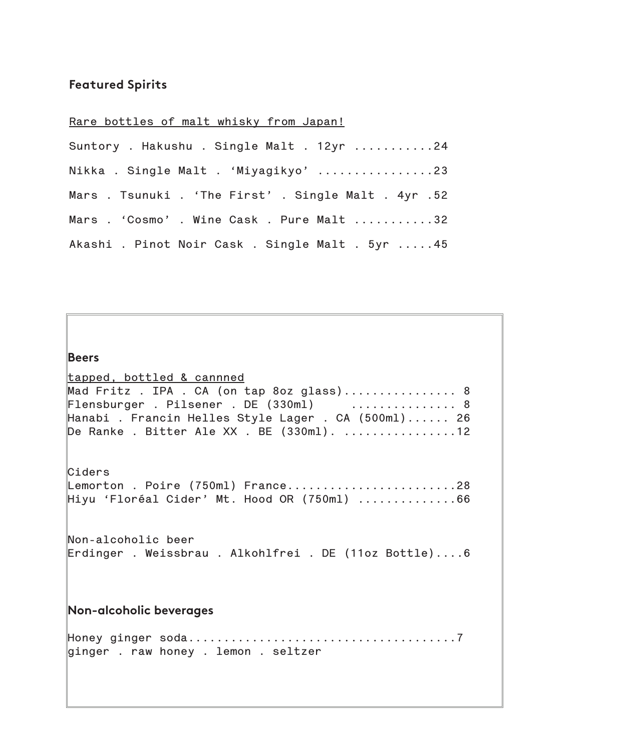# **Featured Spirits**

# **Rare bottles of malt whisky from Japan!**

| Suntory . Hakushu . Single Malt . 12yr 24            |
|------------------------------------------------------|
| Nikka . Single Malt . 'Miyagikyo' 23                 |
| Mars . Tsunuki . 'The First' . Single Malt . 4yr .52 |
| Mars . 'Cosmo' . Wine Cask . Pure Malt 32            |
| Akashi . Pinot Noir Cask . Single Malt . 5yr 45      |

| <b>Beers</b>                                                                                                                                                                                                                                               |
|------------------------------------------------------------------------------------------------------------------------------------------------------------------------------------------------------------------------------------------------------------|
| tapped, bottled & cannned<br>Mad Fritz . IPA . CA (on tap 8oz glass) 8<br>$\mathbb F$ lensburger . Pilsener . DE (330ml) $\ldots \ldots \ldots \ldots$ 8<br>Hanabi . Francin Helles Style Lager . CA (500ml) 26<br>De Ranke. Bitter Ale XX. BE (330ml). 12 |
| Ciders<br>Lemorton . Poire (750ml) France28<br>Hiyu 'Floréal Cider' Mt. Hood OR (750ml) 66                                                                                                                                                                 |
| Non-alcoholic beer<br>Erdinger . Weissbrau . Alkohlfrei . DE (11oz Bottle)6                                                                                                                                                                                |
| Non-alcoholic beverages                                                                                                                                                                                                                                    |
| ginger . raw honey . lemon . seltzer                                                                                                                                                                                                                       |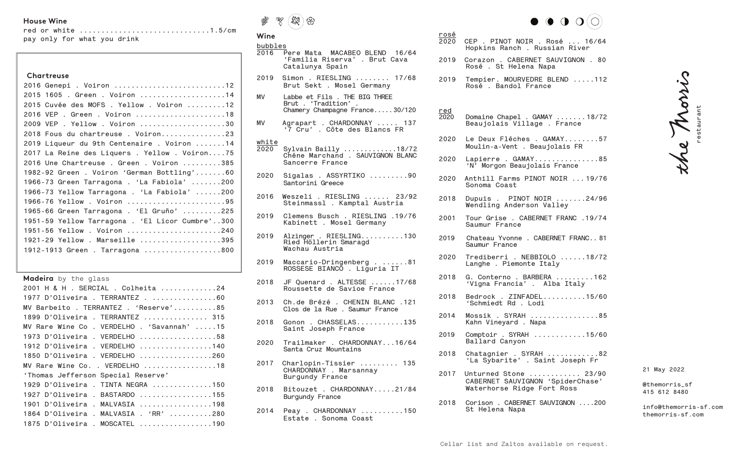## **House Wine**

|  | red or white 1.5/cm         |  |
|--|-----------------------------|--|
|  | pay only for what you drink |  |

#### **Chartreuse**

| 2016 Genepi . Voiron 12                         |
|-------------------------------------------------|
| 2015 1605 . Green . Voiron 14                   |
| 2015 Cuvée des MOFS . Yellow . Voiron 12        |
| 2016 VEP . Green . Voiron 18                    |
| 2009 VEP . Yellow . Voiron 30                   |
| 2018 Fous du chartreuse. Voiron23               |
| 2019 Liqueur du 9th Centenaire . Voiron 14      |
| 2017 La Reine des Liquers . Yellow . Voiron75   |
| 2016 Une Chartreuse . Green . Voiron 385        |
| 1982-92 Green. Voiron 'German Bottling'60       |
| 1966-73 Green Tarragona . 'La Fabiola' 200      |
| 1966-73 Yellow Tarragona . 'La Fabiola' 200     |
| 1966-76 Yellow . Voiron 95                      |
| 1965-66 Green Tarragona . 'El Gruño' 225        |
| 1951-59 Yellow Tarragona . 'El Licor Cumbre'300 |
| 1951-56 Yellow . Voiron 240                     |
| 1921-29 Yellow . Marseille 395                  |
| 1912-1913 Green . Tarragona 800                 |

**Madeira** by the glass

| 2001 H & H . SERCIAL . Colheita 24         |
|--------------------------------------------|
| 1977 D'Oliveira . TERRANTEZ60              |
| MV Barbeito . TERRANTEZ . 'Reserve'85      |
| 1899 D'Oliveira . TERRANTEZ  315           |
| MV Rare Wine Co . VERDELHO . 'Savannah' 15 |
| 1973 D'Oliveira . VERDELHO 58              |
| 1912 D'Oliveira . VERDELHO 140             |
| 1850 D'Oliveira . VERDELHO 260             |
| MV Rare Wine Co. . VERDELHO 18             |
| 'Thomas Jefferson Special Reserve'         |
| 1929 D'Oliveira . TINTA NEGRA 150          |
| 1927 D'Oliveira . BASTARDO 155             |
| 1901 D'Oliveira . MALVASIA 198             |
| 1864 D'Oliveira . MALVASIA . 'RR' 280      |
| 1875 D'Oliveira . MOSCATEL 190             |



#### **Wine**

#### **bubbles**

**2016 Pere Mata MACABEO BLEND 16/64 'Familia Riserva' . Brut Cava Catalunya Spain 2019 Simon . RIESLING ........ 17/68 Brut Sekt . Mosel Germany**

**rosé**

**red**

- **MV Labbe et Fils . THE BIG THREE Brut . 'Tradition' . Chamery Champagne France.....30/120**
- **MV Agrapart . CHARDONNAY ..... 137 '7 Cru' . Côte des Blancs FR**

#### **white**

- **2020 Sylvain Bailly .............18/72 Chéne Marchand . SAUVIGNON BLANC Sancerre France**
- **2020 Sigalas . ASSYRTIKO .........90 Santorini Greece**
- **2016 Weszeli . RIESLING ...... 23/92 Steinmassl . Kamptal Austria**
- **2019 Clemens Busch . RIESLING .19/76 Kabinett . Mosel Germany**
- **2019 Alzinger . RIESLING..........130 Ried Höllerin Smaragd Wachau Austria**
- **2019 Maccario-Dringenberg . ......81 ROSSESE BIANCO . Liguria IT**
- **2018 JF Quenard . ALTESSE ......17/68 Roussette de Savioe France**
- **2013 Ch.de Brézé . CHENIN BLANC .121 Clos de la Rue . Saumur France**
- **2018 Gonon . CHASSELAS...........135 Saint Joseph France**
- **2020 Trailmaker . CHARDONNAY...16/64 Santa Cruz Mountains**
- **2017 Charlopin-Tissier ......... 135 CHARDONNAY . Marsannay Burgundy France**
- **2018 Bitouzet . CHARDONNAY.....21/84 Burgundy France**
- **2014 Peay . CHARDONNAY ..........150 Estate . Sonoma Coast**



| <u>rosé</u><br>2020 | CEP . PINOT NOIR . Rosé  16/64<br>Hopkins Ranch . Russian River       |
|---------------------|-----------------------------------------------------------------------|
| 2019                | Corazon . CABERNET SAUVIGNON . 80<br>Rosé . St Helena Napa            |
| 2019                | Tempier. MOURVEDRE BLEND 112<br>Rosé . Bandol France                  |
| <u>red</u><br>2020  | Domaine Chapel . GAMAY 18/72<br>Beaujolais Village . France           |
| 2020                | Le Deux Fléches . GAMAY57<br>Moulin-a-Vent . Beaujolais FR            |
| 2020                | Lapierre . GAMAY85<br>'N' Morgon Beaujolais France                    |
|                     | 2020 Anthill Farms PINOT NOIR 19/76<br>Sonoma Coast                   |
| 2018                | Dupuis . PINOT NOIR $\ldots \ldots 24/96$<br>Wendling Anderson Valley |
| 2001                | Tour Grise . CABERNET FRANC .19/74<br>Saumur France                   |

- **2019 Chateau Yvonne . CABERNET FRANC.. 81 Saumur France**
- **2020 Trediberri . NEBBIOLO ......18/72 Langhe . Piemonte Italy**
- **2018 G. Conterno . BARBERA .........162 'Vigna Francia' . Alba Italy**
- **2018 Bedrock . ZINFADEL..........15/60 'Schmiedt Rd . Lodi**
- **2014 Mossik . SYRAH ................85 Kahn Vineyard . Napa**
- **2019 Comptoir . SYRAH ............15/60 Ballard Canyon**
- **2018 Chatagnier . SYRAH ............82 'La Sybarite' . Saint Joseph Fr**
- **2017 Unturned Stone ............ 23/90 CABERNET SAUVIGNON 'SpiderChase' Waterhorse Ridge Fort Ross**
- **2018 Corison . CABERNET SAUVIGNON ....200 St Helena Napa**

**21 May 2022**

**@themorris\_sf 415 612 8480**

**info@themorris-sf.com themorris-sf.com**

**restaurant**

the Morris